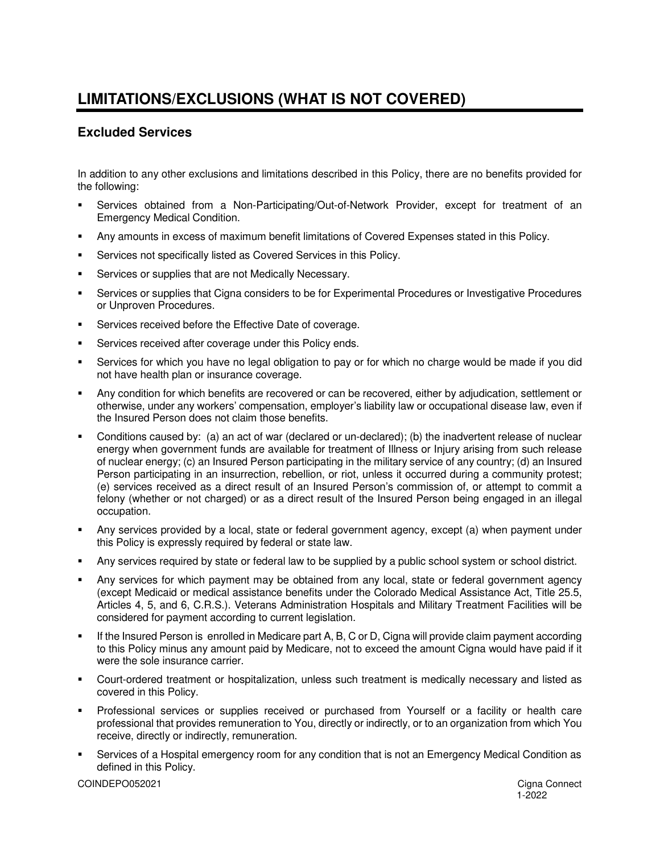# **LIMITATIONS/EXCLUSIONS (WHAT IS NOT COVERED)**

## **Excluded Services**

In addition to any other exclusions and limitations described in this Policy, there are no benefits provided for the following:

- Services obtained from a Non-Participating/Out-of-Network Provider, except for treatment of an Emergency Medical Condition.
- Any amounts in excess of maximum benefit limitations of Covered Expenses stated in this Policy.
- **EXECT:** Services not specifically listed as Covered Services in this Policy.
- Services or supplies that are not Medically Necessary.
- Services or supplies that Cigna considers to be for Experimental Procedures or Investigative Procedures or Unproven Procedures.
- Services received before the Effective Date of coverage.
- Services received after coverage under this Policy ends.
- Services for which you have no legal obligation to pay or for which no charge would be made if you did not have health plan or insurance coverage.
- Any condition for which benefits are recovered or can be recovered, either by adjudication, settlement or otherwise, under any workers' compensation, employer's liability law or occupational disease law, even if the Insured Person does not claim those benefits.
- Conditions caused by: (a) an act of war (declared or un-declared); (b) the inadvertent release of nuclear energy when government funds are available for treatment of Illness or Injury arising from such release of nuclear energy; (c) an Insured Person participating in the military service of any country; (d) an Insured Person participating in an insurrection, rebellion, or riot, unless it occurred during a community protest; (e) services received as a direct result of an Insured Person's commission of, or attempt to commit a felony (whether or not charged) or as a direct result of the Insured Person being engaged in an illegal occupation.
- Any services provided by a local, state or federal government agency, except (a) when payment under this Policy is expressly required by federal or state law.
- Any services required by state or federal law to be supplied by a public school system or school district.
- Any services for which payment may be obtained from any local, state or federal government agency (except Medicaid or medical assistance benefits under the Colorado Medical Assistance Act, Title 25.5, Articles 4, 5, and 6, C.R.S.). Veterans Administration Hospitals and Military Treatment Facilities will be considered for payment according to current legislation.
- If the Insured Person is enrolled in Medicare part A, B, C or D, Cigna will provide claim payment according to this Policy minus any amount paid by Medicare, not to exceed the amount Cigna would have paid if it were the sole insurance carrier.
- Court-ordered treatment or hospitalization, unless such treatment is medically necessary and listed as covered in this Policy.
- Professional services or supplies received or purchased from Yourself or a facility or health care professional that provides remuneration to You, directly or indirectly, or to an organization from which You receive, directly or indirectly, remuneration.
- Services of a Hospital emergency room for any condition that is not an Emergency Medical Condition as defined in this Policy.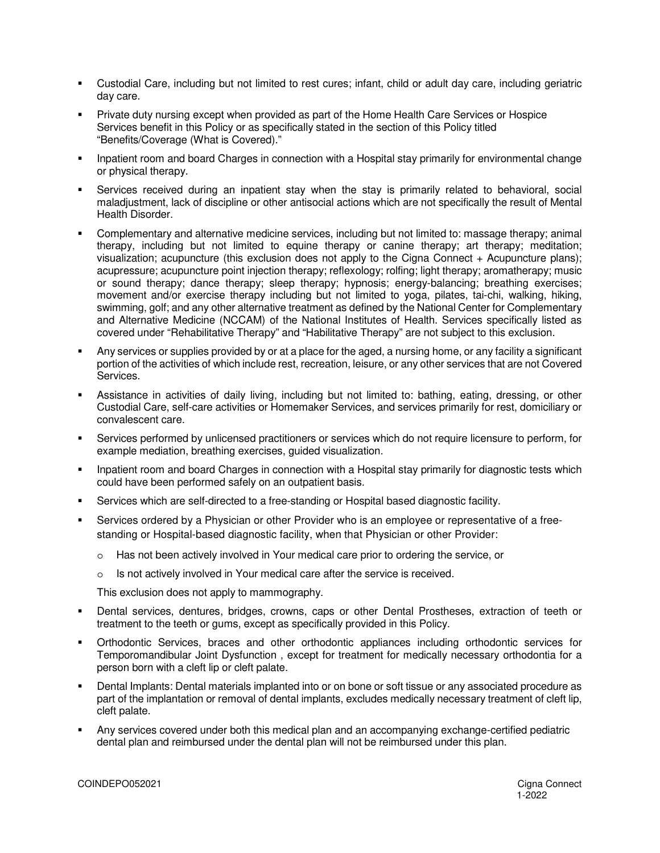- Custodial Care, including but not limited to rest cures; infant, child or adult day care, including geriatric day care.
- Private duty nursing except when provided as part of the Home Health Care Services or Hospice Services benefit in this Policy or as specifically stated in the section of this Policy titled "Benefits/Coverage (What is Covered)."
- Inpatient room and board Charges in connection with a Hospital stay primarily for environmental change or physical therapy.
- Services received during an inpatient stay when the stay is primarily related to behavioral, social maladjustment, lack of discipline or other antisocial actions which are not specifically the result of Mental Health Disorder.
- Complementary and alternative medicine services, including but not limited to: massage therapy; animal therapy, including but not limited to equine therapy or canine therapy; art therapy; meditation; visualization; acupuncture (this exclusion does not apply to the Cigna Connect + Acupuncture plans); acupressure; acupuncture point injection therapy; reflexology; rolfing; light therapy; aromatherapy; music or sound therapy; dance therapy; sleep therapy; hypnosis; energy-balancing; breathing exercises; movement and/or exercise therapy including but not limited to yoga, pilates, tai-chi, walking, hiking, swimming, golf; and any other alternative treatment as defined by the National Center for Complementary and Alternative Medicine (NCCAM) of the National Institutes of Health. Services specifically listed as covered under "Rehabilitative Therapy" and "Habilitative Therapy" are not subject to this exclusion.
- Any services or supplies provided by or at a place for the aged, a nursing home, or any facility a significant portion of the activities of which include rest, recreation, leisure, or any other services that are not Covered Services.
- Assistance in activities of daily living, including but not limited to: bathing, eating, dressing, or other Custodial Care, self-care activities or Homemaker Services, and services primarily for rest, domiciliary or convalescent care.
- Services performed by unlicensed practitioners or services which do not require licensure to perform, for example mediation, breathing exercises, guided visualization.
- Inpatient room and board Charges in connection with a Hospital stay primarily for diagnostic tests which could have been performed safely on an outpatient basis.
- Services which are self-directed to a free-standing or Hospital based diagnostic facility.
- Services ordered by a Physician or other Provider who is an employee or representative of a freestanding or Hospital-based diagnostic facility, when that Physician or other Provider:
	- o Has not been actively involved in Your medical care prior to ordering the service, or
	- o Is not actively involved in Your medical care after the service is received.

This exclusion does not apply to mammography.

- Dental services, dentures, bridges, crowns, caps or other Dental Prostheses, extraction of teeth or treatment to the teeth or gums, except as specifically provided in this Policy.
- Orthodontic Services, braces and other orthodontic appliances including orthodontic services for Temporomandibular Joint Dysfunction , except for treatment for medically necessary orthodontia for a person born with a cleft lip or cleft palate.
- Dental Implants: Dental materials implanted into or on bone or soft tissue or any associated procedure as part of the implantation or removal of dental implants, excludes medically necessary treatment of cleft lip, cleft palate.
- Any services covered under both this medical plan and an accompanying exchange-certified pediatric dental plan and reimbursed under the dental plan will not be reimbursed under this plan.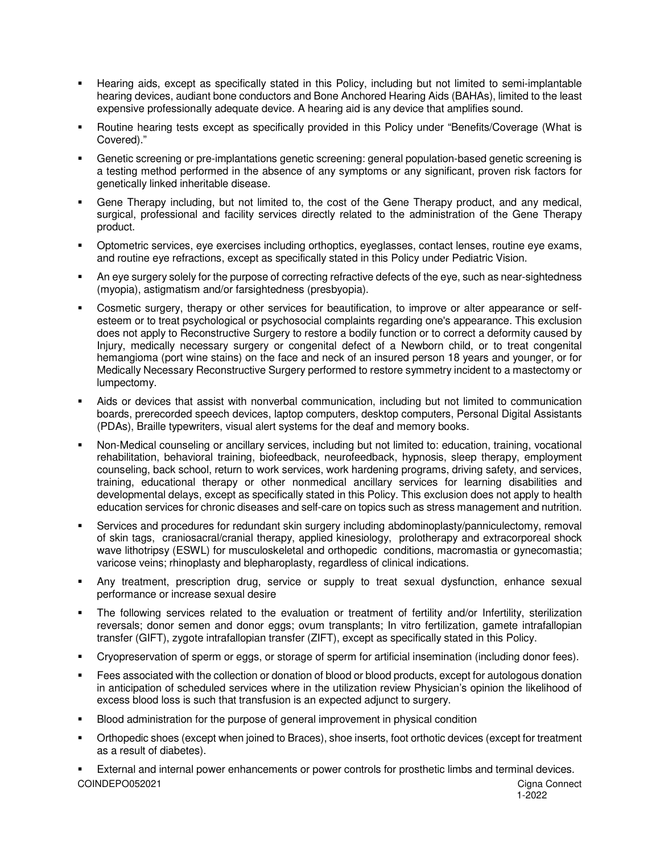- Hearing aids, except as specifically stated in this Policy, including but not limited to semi-implantable hearing devices, audiant bone conductors and Bone Anchored Hearing Aids (BAHAs), limited to the least expensive professionally adequate device. A hearing aid is any device that amplifies sound.
- Routine hearing tests except as specifically provided in this Policy under "Benefits/Coverage (What is Covered)."
- Genetic screening or pre-implantations genetic screening: general population-based genetic screening is a testing method performed in the absence of any symptoms or any significant, proven risk factors for genetically linked inheritable disease.
- Gene Therapy including, but not limited to, the cost of the Gene Therapy product, and any medical, surgical, professional and facility services directly related to the administration of the Gene Therapy product.
- Optometric services, eye exercises including orthoptics, eyeglasses, contact lenses, routine eye exams, and routine eye refractions, except as specifically stated in this Policy under Pediatric Vision.
- An eye surgery solely for the purpose of correcting refractive defects of the eye, such as near-sightedness (myopia), astigmatism and/or farsightedness (presbyopia).
- Cosmetic surgery, therapy or other services for beautification, to improve or alter appearance or selfesteem or to treat psychological or psychosocial complaints regarding one's appearance. This exclusion does not apply to Reconstructive Surgery to restore a bodily function or to correct a deformity caused by Injury, medically necessary surgery or congenital defect of a Newborn child, or to treat congenital hemangioma (port wine stains) on the face and neck of an insured person 18 years and younger, or for Medically Necessary Reconstructive Surgery performed to restore symmetry incident to a mastectomy or lumpectomy.
- Aids or devices that assist with nonverbal communication, including but not limited to communication boards, prerecorded speech devices, laptop computers, desktop computers, Personal Digital Assistants (PDAs), Braille typewriters, visual alert systems for the deaf and memory books.
- Non-Medical counseling or ancillary services, including but not limited to: education, training, vocational rehabilitation, behavioral training, biofeedback, neurofeedback, hypnosis, sleep therapy, employment counseling, back school, return to work services, work hardening programs, driving safety, and services, training, educational therapy or other nonmedical ancillary services for learning disabilities and developmental delays, except as specifically stated in this Policy. This exclusion does not apply to health education services for chronic diseases and self-care on topics such as stress management and nutrition.
- Services and procedures for redundant skin surgery including abdominoplasty/panniculectomy, removal of skin tags, craniosacral/cranial therapy, applied kinesiology, prolotherapy and extracorporeal shock wave lithotripsy (ESWL) for musculoskeletal and orthopedic conditions, macromastia or gynecomastia; varicose veins; rhinoplasty and blepharoplasty, regardless of clinical indications.
- Any treatment, prescription drug, service or supply to treat sexual dysfunction, enhance sexual performance or increase sexual desire
- The following services related to the evaluation or treatment of fertility and/or Infertility, sterilization reversals; donor semen and donor eggs; ovum transplants; In vitro fertilization, gamete intrafallopian transfer (GIFT), zygote intrafallopian transfer (ZIFT), except as specifically stated in this Policy.
- Cryopreservation of sperm or eggs, or storage of sperm for artificial insemination (including donor fees).
- Fees associated with the collection or donation of blood or blood products, except for autologous donation in anticipation of scheduled services where in the utilization review Physician's opinion the likelihood of excess blood loss is such that transfusion is an expected adjunct to surgery.
- Blood administration for the purpose of general improvement in physical condition
- Orthopedic shoes (except when joined to Braces), shoe inserts, foot orthotic devices (except for treatment as a result of diabetes).

COINDEPO052021 Cigna Connect External and internal power enhancements or power controls for prosthetic limbs and terminal devices.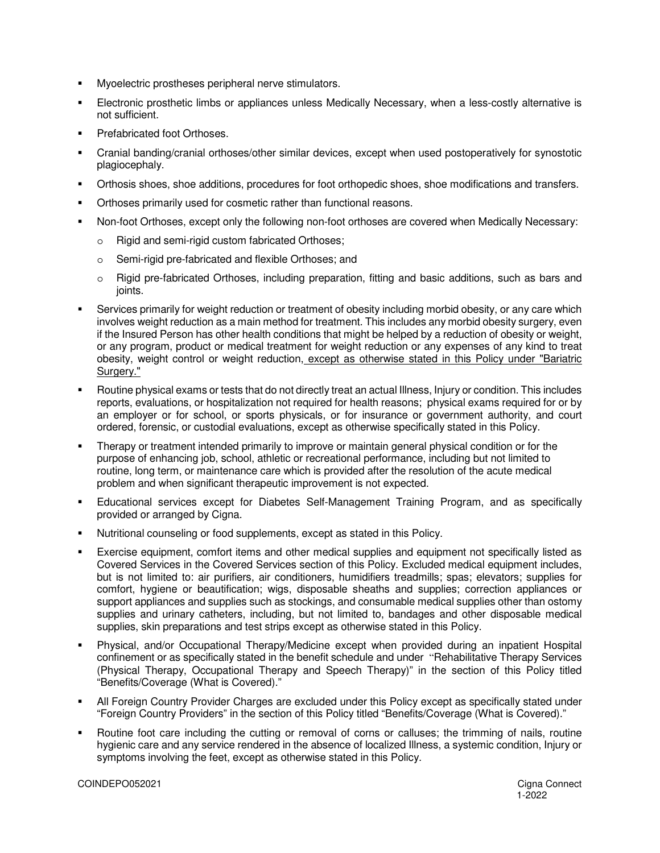- Myoelectric prostheses peripheral nerve stimulators.
- Electronic prosthetic limbs or appliances unless Medically Necessary, when a less-costly alternative is not sufficient.
- **•** Prefabricated foot Orthoses.
- Cranial banding/cranial orthoses/other similar devices, except when used postoperatively for synostotic plagiocephaly.
- Orthosis shoes, shoe additions, procedures for foot orthopedic shoes, shoe modifications and transfers.
- Orthoses primarily used for cosmetic rather than functional reasons.
- Non-foot Orthoses, except only the following non-foot orthoses are covered when Medically Necessary:
	- o Rigid and semi-rigid custom fabricated Orthoses;
	- o Semi-rigid pre-fabricated and flexible Orthoses; and
	- o Rigid pre-fabricated Orthoses, including preparation, fitting and basic additions, such as bars and ioints.
- Services primarily for weight reduction or treatment of obesity including morbid obesity, or any care which involves weight reduction as a main method for treatment. This includes any morbid obesity surgery, even if the Insured Person has other health conditions that might be helped by a reduction of obesity or weight, or any program, product or medical treatment for weight reduction or any expenses of any kind to treat obesity, weight control or weight reduction, except as otherwise stated in this Policy under "Bariatric Surgery."
- Routine physical exams or tests that do not directly treat an actual Illness, Injury or condition. This includes reports, evaluations, or hospitalization not required for health reasons; physical exams required for or by an employer or for school, or sports physicals, or for insurance or government authority, and court ordered, forensic, or custodial evaluations, except as otherwise specifically stated in this Policy.
- Therapy or treatment intended primarily to improve or maintain general physical condition or for the purpose of enhancing job, school, athletic or recreational performance, including but not limited to routine, long term, or maintenance care which is provided after the resolution of the acute medical problem and when significant therapeutic improvement is not expected.
- Educational services except for Diabetes Self-Management Training Program, and as specifically provided or arranged by Cigna.
- Nutritional counseling or food supplements, except as stated in this Policy.
- Exercise equipment, comfort items and other medical supplies and equipment not specifically listed as Covered Services in the Covered Services section of this Policy. Excluded medical equipment includes, but is not limited to: air purifiers, air conditioners, humidifiers treadmills; spas; elevators; supplies for comfort, hygiene or beautification; wigs, disposable sheaths and supplies; correction appliances or support appliances and supplies such as stockings, and consumable medical supplies other than ostomy supplies and urinary catheters, including, but not limited to, bandages and other disposable medical supplies, skin preparations and test strips except as otherwise stated in this Policy.
- Physical, and/or Occupational Therapy/Medicine except when provided during an inpatient Hospital confinement or as specifically stated in the benefit schedule and under "Rehabilitative Therapy Services (Physical Therapy, Occupational Therapy and Speech Therapy)" in the section of this Policy titled "Benefits/Coverage (What is Covered)."
- All Foreign Country Provider Charges are excluded under this Policy except as specifically stated under "Foreign Country Providers" in the section of this Policy titled "Benefits/Coverage (What is Covered)."
- Routine foot care including the cutting or removal of corns or calluses; the trimming of nails, routine hygienic care and any service rendered in the absence of localized Illness, a systemic condition, Injury or symptoms involving the feet, except as otherwise stated in this Policy.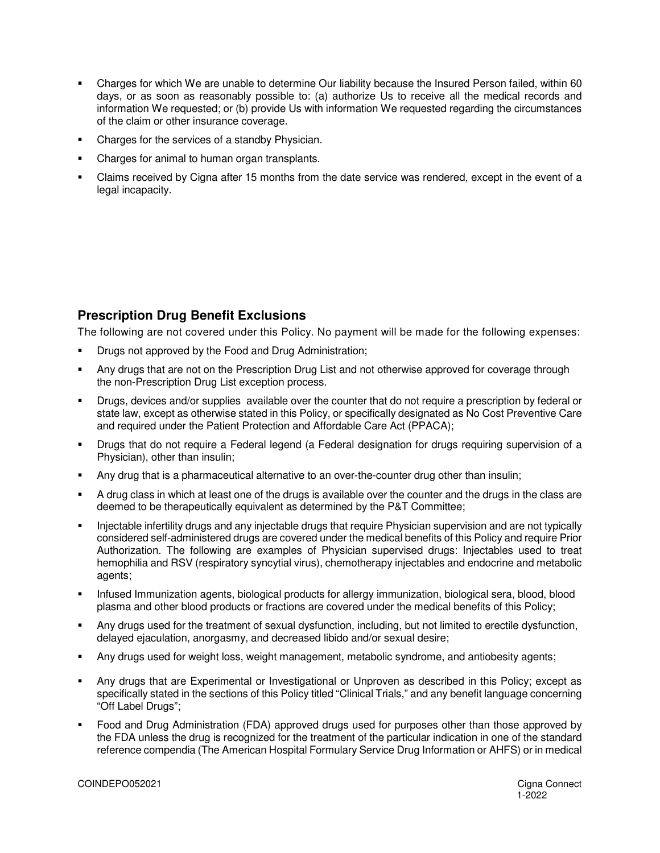- Charges for which We are unable to determine Our liability because the Insured Person failed, within 60 days, or as soon as reasonably possible to: (a) authorize Us to receive all the medical records and information We requested; or (b) provide Us with information We requested regarding the circumstances of the claim or other insurance coverage.
- Charges for the services of a standby Physician.
- Charges for animal to human organ transplants.
- Claims received by Cigna after 15 months from the date service was rendered, except in the event of a legal incapacity.

### **Prescription Drug Benefit Exclusions**

The following are not covered under this Policy. No payment will be made for the following expenses:

- Drugs not approved by the Food and Drug Administration;
- Any drugs that are not on the Prescription Drug List and not otherwise approved for coverage through the non-Prescription Drug List exception process.
- Drugs, devices and/or supplies available over the counter that do not require a prescription by federal or state law, except as otherwise stated in this Policy, or specifically designated as No Cost Preventive Care and required under the Patient Protection and Affordable Care Act (PPACA);
- Drugs that do not require a Federal legend (a Federal designation for drugs requiring supervision of a Physician), other than insulin;
- Any drug that is a pharmaceutical alternative to an over-the-counter drug other than insulin;
- A drug class in which at least one of the drugs is available over the counter and the drugs in the class are deemed to be therapeutically equivalent as determined by the P&T Committee;
- Injectable infertility drugs and any injectable drugs that require Physician supervision and are not typically considered self-administered drugs are covered under the medical benefits of this Policy and require Prior Authorization. The following are examples of Physician supervised drugs: Injectables used to treat hemophilia and RSV (respiratory syncytial virus), chemotherapy injectables and endocrine and metabolic agents;
- Infused Immunization agents, biological products for allergy immunization, biological sera, blood, blood plasma and other blood products or fractions are covered under the medical benefits of this Policy;
- Any drugs used for the treatment of sexual dysfunction, including, but not limited to erectile dysfunction, delayed ejaculation, anorgasmy, and decreased libido and/or sexual desire;
- Any drugs used for weight loss, weight management, metabolic syndrome, and antiobesity agents;
- Any drugs that are Experimental or Investigational or Unproven as described in this Policy; except as specifically stated in the sections of this Policy titled "Clinical Trials," and any benefit language concerning "Off Label Drugs";
- Food and Drug Administration (FDA) approved drugs used for purposes other than those approved by the FDA unless the drug is recognized for the treatment of the particular indication in one of the standard reference compendia (The American Hospital Formulary Service Drug Information or AHFS) or in medical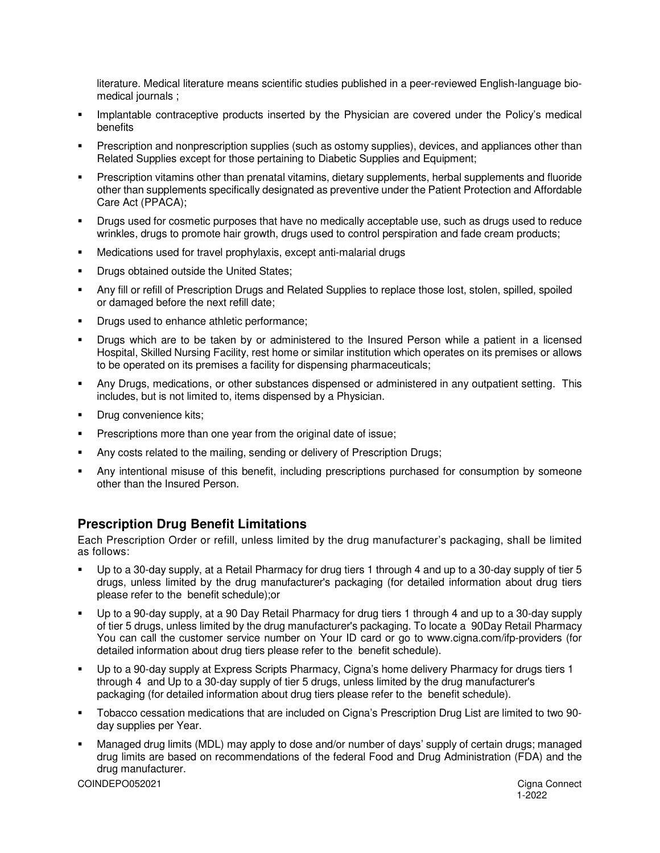literature. Medical literature means scientific studies published in a peer-reviewed English-language biomedical journals ;

- **Implantable contraceptive products inserted by the Physician are covered under the Policy's medical** benefits
- Prescription and nonprescription supplies (such as ostomy supplies), devices, and appliances other than Related Supplies except for those pertaining to Diabetic Supplies and Equipment;
- Prescription vitamins other than prenatal vitamins, dietary supplements, herbal supplements and fluoride other than supplements specifically designated as preventive under the Patient Protection and Affordable Care Act (PPACA);
- Drugs used for cosmetic purposes that have no medically acceptable use, such as drugs used to reduce wrinkles, drugs to promote hair growth, drugs used to control perspiration and fade cream products;
- Medications used for travel prophylaxis, except anti-malarial drugs
- Drugs obtained outside the United States;
- Any fill or refill of Prescription Drugs and Related Supplies to replace those lost, stolen, spilled, spoiled or damaged before the next refill date;
- Drugs used to enhance athletic performance;
- Drugs which are to be taken by or administered to the Insured Person while a patient in a licensed Hospital, Skilled Nursing Facility, rest home or similar institution which operates on its premises or allows to be operated on its premises a facility for dispensing pharmaceuticals;
- Any Drugs, medications, or other substances dispensed or administered in any outpatient setting. This includes, but is not limited to, items dispensed by a Physician.
- Drug convenience kits;
- **Prescriptions more than one year from the original date of issue;**
- Any costs related to the mailing, sending or delivery of Prescription Drugs;
- Any intentional misuse of this benefit, including prescriptions purchased for consumption by someone other than the Insured Person.

### **Prescription Drug Benefit Limitations**

Each Prescription Order or refill, unless limited by the drug manufacturer's packaging, shall be limited as follows:

- Up to a 30-day supply, at a Retail Pharmacy for drug tiers 1 through 4 and up to a 30-day supply of tier 5 drugs, unless limited by the drug manufacturer's packaging (for detailed information about drug tiers please refer to the benefit schedule);or
- Up to a 90-day supply, at a 90 Day Retail Pharmacy for drug tiers 1 through 4 and up to a 30-day supply of tier 5 drugs, unless limited by the drug manufacturer's packaging. To locate a 90Day Retail Pharmacy You can call the customer service number on Your ID card or go to www.cigna.com/ifp-providers (for detailed information about drug tiers please refer to the benefit schedule).
- Up to a 90-day supply at Express Scripts Pharmacy, Cigna's home delivery Pharmacy for drugs tiers 1 through 4 and Up to a 30-day supply of tier 5 drugs, unless limited by the drug manufacturer's packaging (for detailed information about drug tiers please refer to the benefit schedule).
- Tobacco cessation medications that are included on Cigna's Prescription Drug List are limited to two 90 day supplies per Year.
- Managed drug limits (MDL) may apply to dose and/or number of days' supply of certain drugs; managed drug limits are based on recommendations of the federal Food and Drug Administration (FDA) and the drug manufacturer.